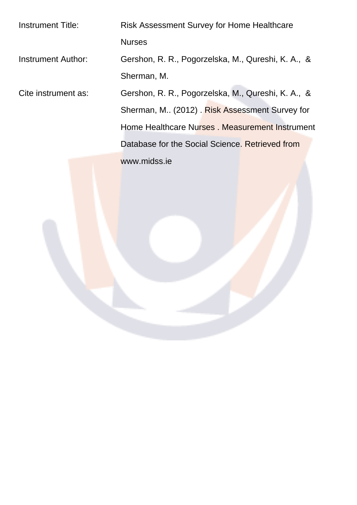Instrument Title: Risk Assessment Survey for Home Healthcare Nurses Instrument Author: Gershon, R. R., Pogorzelska, M., Qureshi, K. A., & Sherman, M. Cite instrument as: Gershon, R. R., Pogorzelska, M., Qureshi, K. A., & Sherman, M.. (2012) . Risk Assessment Survey for Home Healthcare Nurses . Measurement Instrument Database for the Social Science. Retrieved from www.midss.ie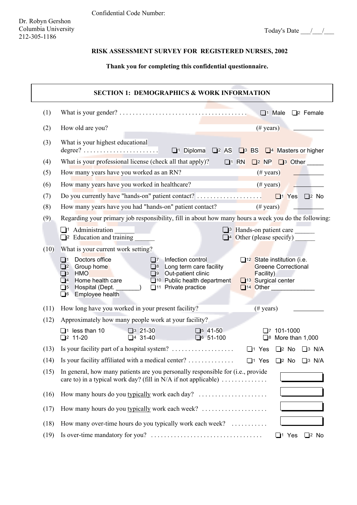Confidential Code Number:

### **RISK ASSESSMENT SURVEY FOR REGISTERED NURSES, 2002**

**Thank you for completing this confidential questionnaire.** 

|      | <b>SECTION 1: DEMOGRAPHICS &amp; WORK INFORMATION</b>                                                                                                                                                                                                                                                                                                                                                                                                                                                                               |
|------|-------------------------------------------------------------------------------------------------------------------------------------------------------------------------------------------------------------------------------------------------------------------------------------------------------------------------------------------------------------------------------------------------------------------------------------------------------------------------------------------------------------------------------------|
| (1)  | $\Box$ <sup>1</sup> Male $\Box$ <sup>2</sup> Female                                                                                                                                                                                                                                                                                                                                                                                                                                                                                 |
| (2)  | How old are you?<br>$(\# \text{ years})$                                                                                                                                                                                                                                                                                                                                                                                                                                                                                            |
| (3)  | What is your highest educational                                                                                                                                                                                                                                                                                                                                                                                                                                                                                                    |
| (4)  | What is your professional license (check all that apply)?<br>$\Box$ <sup>1</sup> RN $\Box$ <sup>2</sup> NP $\Box$ <sup>3</sup> Other                                                                                                                                                                                                                                                                                                                                                                                                |
| (5)  | How many years have you worked as an RN?<br><u>and the community of the community of the community of the community of the community of the community of the community of the community of the community of the community of the community of the community of the community</u><br>$(\# \text{ years})$                                                                                                                                                                                                                            |
| (6)  | How many years have you worked in healthcare?<br>$(\# \text{ years})$                                                                                                                                                                                                                                                                                                                                                                                                                                                               |
| (7)  |                                                                                                                                                                                                                                                                                                                                                                                                                                                                                                                                     |
| (8)  | How many years have you had "hands-on" patient contact?<br>$(\# \text{ years})$                                                                                                                                                                                                                                                                                                                                                                                                                                                     |
| (9)  | Regarding your primary job responsibility, fill in about how many hours a week you do the following:                                                                                                                                                                                                                                                                                                                                                                                                                                |
|      | $\Box$ <sup>1</sup> Administration<br>13 Hands-on patient care<br>$\Box$ <sup>2</sup> Education and training $\Box$<br>$\Box$ <sup>4</sup> Other (please specify) $\Box$                                                                                                                                                                                                                                                                                                                                                            |
| (10) | What is your current work setting?                                                                                                                                                                                                                                                                                                                                                                                                                                                                                                  |
|      | Doctors office<br>Infection control<br>$\Box$ 1<br>$\Box$ 7<br>$\Box$ <sup>12</sup> State institution (i.e.<br>$\Box$ <sup>8</sup> Long term care facility<br><b>Greene Correctional</b><br>$\Box$ <sup>2</sup> Group home<br>$\Box$ <sup>3</sup><br><b>HMO</b><br>$\Box$ <sup>9</sup> Out-patient clinic<br>Facility)<br>10 Public health department<br>$\Box$ 4<br>Home health care<br>13 Surgical center<br>Hospital (Dept.<br>$\Box$ <sup>11</sup> Private practice<br>$14$ Other<br>$\square$ 5<br>Employee health<br>$\Box$ 6 |
| (11) | How long have you worked in your present facility?<br>$(\# \text{ years})$                                                                                                                                                                                                                                                                                                                                                                                                                                                          |
| (12) | Approximately how many people work at your facility?                                                                                                                                                                                                                                                                                                                                                                                                                                                                                |
|      | $\Box$ <sup>1</sup> less than 10<br>$\square$ <sup>5</sup> 41-50<br>□7 101-1000<br>$\Box$ 3 21-30<br>$\Box$ 4 31-40<br>$2^2$ 11-20<br>$\Box$ 6 51-100<br>$\Box$ <sup>8</sup> More than 1,000                                                                                                                                                                                                                                                                                                                                        |
| (13) | $\Box$ 1 Yes $\Box$ 2 No $\Box$ 3 N/A                                                                                                                                                                                                                                                                                                                                                                                                                                                                                               |
| (14) | Is your facility affiliated with a medical center?<br>$\Box$ <sup>1</sup> Yes<br>$\Box$ 2 No<br>$\Box$ <sup>3</sup> N/A                                                                                                                                                                                                                                                                                                                                                                                                             |
| (15) | In general, how many patients are you personally responsible for (i.e., provide<br>care to) in a typical work day? (fill in N/A if not applicable) $\dots\dots\dots\dots$                                                                                                                                                                                                                                                                                                                                                           |
| (16) |                                                                                                                                                                                                                                                                                                                                                                                                                                                                                                                                     |
| (17) |                                                                                                                                                                                                                                                                                                                                                                                                                                                                                                                                     |
| (18) | How many over-time hours do you typically work each week?                                                                                                                                                                                                                                                                                                                                                                                                                                                                           |
| (19) | $\Box$ <sup>1</sup> Yes<br>$\square$ <sup>2</sup> No                                                                                                                                                                                                                                                                                                                                                                                                                                                                                |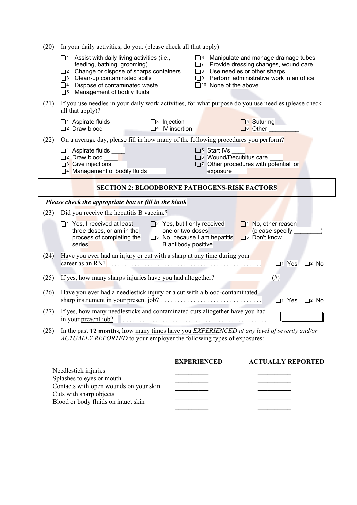| (20) | In your daily activities, do you: (please check all that apply)                                                                                                                                                                                                                                          |                                                                                                                                                                                                                                                                  |
|------|----------------------------------------------------------------------------------------------------------------------------------------------------------------------------------------------------------------------------------------------------------------------------------------------------------|------------------------------------------------------------------------------------------------------------------------------------------------------------------------------------------------------------------------------------------------------------------|
|      | $\Box$ <sup>1</sup> Assist with daily living activities (i.e.,<br>feeding, bathing, grooming)<br>$\Box$ <sup>2</sup> Change or dispose of sharps containers<br>$\square$ <sup>3</sup> Clean-up contaminated spills<br>$\Box$ <sup>4</sup> Dispose of contaminated waste<br>5 Management of bodily fluids | $\Box$ <sup>6</sup> Manipulate and manage drainage tubes<br>□7 Provide dressing changes, wound care<br>$\Box$ <sup>8</sup> Use needles or other sharps<br>$\Box$ <sup>9</sup> Perform administrative work in an office<br>$\Box$ <sup>10</sup> None of the above |
| (21) | If you use needles in your daily work activities, for what purpose do you use needles (please check<br>all that apply)?                                                                                                                                                                                  |                                                                                                                                                                                                                                                                  |
|      | $\Box$ <sup>1</sup> Aspirate fluids<br>$\Box$ <sup>3</sup> Injection<br>$\Box$ <sup>4</sup> IV insertion<br>$\Box$ <sub>2</sub> Draw blood                                                                                                                                                               | $\Box$ <sup>5</sup> Suturing<br>$\Box$ 6 Other                                                                                                                                                                                                                   |
| (22) | On a average day, please fill in how many of the following procedures you perform?                                                                                                                                                                                                                       |                                                                                                                                                                                                                                                                  |
|      | $\Box$ <sup>2</sup> Draw blood<br>$\Box$ <sup>3</sup> Give injections<br>$\Box$ <sup>4</sup> Management of bodily fluids                                                                                                                                                                                 | $\Box$ <sup>5</sup> Start IVs<br>□6 Wound/Decubitus care<br>$\Box$ <sup>7</sup> Other procedures with potential for<br>exposure ____                                                                                                                             |
|      | <b>SECTION 2: BLOODBORNE PATHOGENS-RISK FACTORS</b>                                                                                                                                                                                                                                                      |                                                                                                                                                                                                                                                                  |
|      |                                                                                                                                                                                                                                                                                                          |                                                                                                                                                                                                                                                                  |
|      | Please check the appropriate box or fill in the blank                                                                                                                                                                                                                                                    |                                                                                                                                                                                                                                                                  |
| (23) | Did you receive the hepatitis B vaccine?                                                                                                                                                                                                                                                                 |                                                                                                                                                                                                                                                                  |
|      | $\Box$ <sup>1</sup> Yes, I received at least<br>$\Box$ <sup>2</sup> Yes, but I only received<br>three doses, or am in the<br>one or two doses<br>process of completing the<br>B antibody positive<br>series                                                                                              | $\Box$ <sup>4</sup> No, other reason<br>(please specify<br>$\Box$ <sup>5</sup> Don't know<br>$\Box$ <sup>3</sup> No, because I am hepatitis                                                                                                                      |
| (24) | Have you ever had an injury or cut with a sharp at any time during your                                                                                                                                                                                                                                  | $\Box$ <sup>1</sup> Yes $\Box$ <sup>2</sup> No                                                                                                                                                                                                                   |
| (25) | If yes, how many sharps injuries have you had altogether?                                                                                                                                                                                                                                                | $(\#)$                                                                                                                                                                                                                                                           |
| (26) | Have you ever had a needlestick injury or a cut with a blood-contaminated                                                                                                                                                                                                                                | $\Box$ <sup>1</sup> Yes<br>$\Box$ 2 No                                                                                                                                                                                                                           |
| (27) | If yes, how many needlesticks and contaminated cuts altogether have you had                                                                                                                                                                                                                              |                                                                                                                                                                                                                                                                  |

|                                        | <b>EXPERIENCED</b> | <b>ACTUALLY REPORTED</b> |
|----------------------------------------|--------------------|--------------------------|
| Needlestick injuries                   |                    |                          |
| Splashes to eyes or mouth              |                    |                          |
| Contacts with open wounds on your skin |                    |                          |
| Cuts with sharp objects                |                    |                          |
| Blood or body fluids on intact skin    |                    |                          |
|                                        |                    |                          |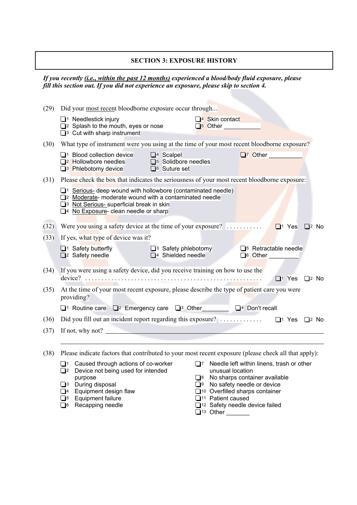#### **SECTION 3: EXPOSURE HISTORY**

*If you recently (i.e., within the past 12 months) experienced a blood/body fluid exposure, please fill this section out. If you did not experience an exposure, please skip to section 4.*

| (29) | Did your most recent bloodborne exposure occur through                                                                                                                                                                                                          |
|------|-----------------------------------------------------------------------------------------------------------------------------------------------------------------------------------------------------------------------------------------------------------------|
|      | $\Box$ <sup>4</sup> Skin contact<br>$\Box$ <sup>1</sup> Needlestick injury<br>$\Box$ <sup>2</sup> Splash to the mouth, eyes or nose<br>$\Box$ <sub>5</sub> Other $\Box$<br>$\Box$ <sup>3</sup> Cut with sharp instrument                                        |
| (30) | What type of instrument were you using at the time of your most recent bloodborne exposure?                                                                                                                                                                     |
|      | $\Box$ <sup>1</sup> Blood collection device $\Box$ <sup>4</sup> Scalpel<br>$\Box$ 7 Other<br><sup>2</sup> Hollowbore needles<br>5 Solidbore needles<br>$\Box$ <sup>6</sup> Suture set<br><b>S</b> <sup>3</sup> Phlebotomy device                                |
| (31) | Please check the box that indicates the seriousness of your most recent bloodborne exposure:                                                                                                                                                                    |
|      | $\Box$ <sup>1</sup> Serious- deep wound with hollowbore (contaminated needle)<br>12 Moderate- moderate wound with a contaminated needle<br>3 Not Serious- superficial break in skin<br>No Exposure- clean needle or sharp                                       |
| (32) | Were you using a safety device at the time of your exposure?<br>$\Box$ 1 Yes $\Box$ 2 No                                                                                                                                                                        |
| (33) | If yes, what type of device was it?                                                                                                                                                                                                                             |
|      | $\Box$ <sup>1</sup> Safety butterfly<br>3 Safety phlebotomy<br>5 Retractable needle<br>$\Box$ <sup>2</sup> Safety needle<br>$\Box$ <sup>4</sup> Shielded needle<br>$\Box$ <sup>6</sup> Other                                                                    |
| (34) | If you were using a safety device, did you receive training on how to use the<br>$\Box$ 1 Yes $\Box$ 2 No                                                                                                                                                       |
| (35) | At the time of your most recent exposure, please describe the type of patient care you were<br>providing?                                                                                                                                                       |
|      | 14 Don't recall 12 Emergency care 13 Other 14 Don't recall                                                                                                                                                                                                      |
| (36) | Did you fill out an incident report regarding this exposure? $\ldots$ $\ldots$ $\ldots$ $\Box$ <sup>1</sup> Yes $\Box$ <sup>2</sup> No                                                                                                                          |
| (37) | If not, why not?                                                                                                                                                                                                                                                |
|      |                                                                                                                                                                                                                                                                 |
| (38) | Please indicate factors that contributed to your most recent exposure (please check all that apply):                                                                                                                                                            |
|      | $\Box$ 7 Needle left within linens, trash or other<br>$\Box$ <sup>1</sup> Caused through actions of co-worker<br>$\Box$ <sup>2</sup> Device not being used for intended<br>unusual location<br>$\Box$ Mo oberne container available<br>$n \cup n \cap n \cap n$ |

- purpose
- **3** During disposal
- $\overline{\Box}$ <sup>4</sup> Equipment design flaw  $\overline{\Box}$ <sup>5</sup> Equipment failure
- 
- $\overline{\Box}$ 6 Recapping needle
- 8 No sharps container available
- 9 No safety needle or device
- $\overline{\Box}$ <sup>10</sup> Overfilled sharps container
- $\overline{\Box}$ 11 Patient caused
- $\overline{\Box}$ 12 Safety needle device failed
- 13 Other \_\_\_\_\_\_\_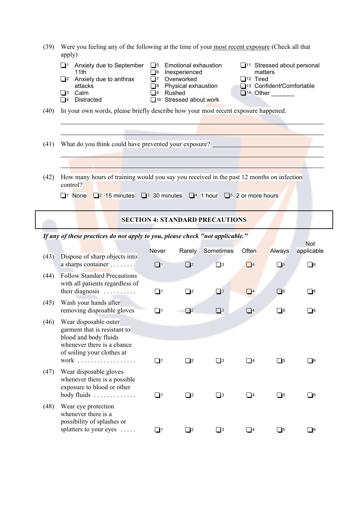| (39) Were you feeling any of the following at the time of your most recent exposure (Check all that |  |
|-----------------------------------------------------------------------------------------------------|--|
| apply)                                                                                              |  |

|      | **FF <i>*JI</i> |                                                                                                                         |          |                                                   |                                                                            |
|------|-----------------|-------------------------------------------------------------------------------------------------------------------------|----------|---------------------------------------------------|----------------------------------------------------------------------------|
|      | $\vert$   2     | $\Box$ <sup>1</sup> Anxiety due to September $\Box$ <sup>5</sup> Emotional exhaustion<br>11th<br>Anxiety due to anthrax |          | <sup>6</sup> Inexperienced<br>7 Overworked        | $\Box$ <sup>11</sup> Stressed about personal<br>matters<br>$\Box$ 12 Tired |
|      |                 | attacks<br>$\Box$ 3 Calm                                                                                                | $\Box$ 9 | $\Box$ <sup>8</sup> Physical exhaustion<br>Rushed | 13 Confident/Comfortable<br>$\Box$ 14 Other                                |
|      |                 | 14 Distracted                                                                                                           |          | 10 Stressed about work                            |                                                                            |
| (40) |                 | In your own words, please briefly describe how your most recent exposure happened.                                      |          |                                                   |                                                                            |
|      |                 |                                                                                                                         |          |                                                   |                                                                            |
| (41) |                 | What do you think could have prevented your exposure?                                                                   |          |                                                   |                                                                            |
| (42) | control?        | How many hours of training would you say you received in the past 12 months on infection                                |          |                                                   |                                                                            |
|      |                 | <b>1</b> None $\Box$ 2 15 minutes $\Box$ 3 30 minutes $\Box$ 4 1 hour $\Box$ 5 2 or more hours                          |          |                                                   |                                                                            |
|      |                 |                                                                                                                         |          | <b>SECTION 4: STANDARD PRECAUTIONS</b>            |                                                                            |
|      |                 | If any of these practices do not apply to you, please check "not applicable."                                           |          |                                                   |                                                                            |

|      |                                                                                                                                                    | Never     | Rarely         | Sometimes      | Often               | <b>Always</b>              | Not<br>applicable |
|------|----------------------------------------------------------------------------------------------------------------------------------------------------|-----------|----------------|----------------|---------------------|----------------------------|-------------------|
| (43) | Dispose of sharp objects into<br>a sharps container $\dots \dots$                                                                                  | $\Box$ 1  | $\Box$ 2       | $\Box$ 3       | $\Box$ 4            | $\Box$ 5                   | $\Box$ 6          |
| (44) | <b>Follow Standard Precautions</b><br>with all patients regardless of<br>their diagnosis                                                           | <b>11</b> | $\Box$ 2       | $\Box$ 3       | $\Box$ <sup>4</sup> | $\overline{\phantom{1}}$ 5 | $\Box$ 6          |
| (45) | Wash your hands after<br>removing disposable gloves                                                                                                | ▔ો 1      | $\Box$ 2       | $\Box$ 3       | $\Box$ 4            | $\Box$ 5                   | <b>16</b>         |
| (46) | Wear disposable outer<br>garment that is resistant to<br>blood and body fluids<br>whenever there is a chance<br>of soiling your clothes at<br>work | - 11      | $\mathbf{I}$   | $\mathbf{I}$ 3 | $\blacksquare$      | $\overline{\phantom{0}}$ 5 | <b>16</b>         |
| (47) | Wear disposable gloves<br>whenever there is a possible<br>exposure to blood or other<br>body fluids                                                | L 11      | $\Box$ 2       | $\square$ 3    | $\blacksquare$      | $\mathbf{\mathsf{T}}$ 15   | $\blacksquare$    |
| (48) | Wear eye protection<br>whenever there is a<br>possibility of splashes or<br>splatters to your eyes $\dots$                                         |           | $\mathsf{I}^2$ | 3              | $\mathsf{I}4$       | 75                         | - 16              |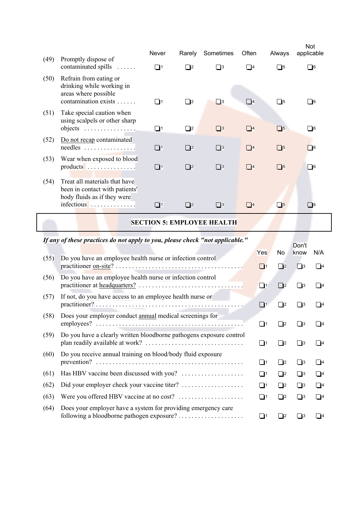| (49) | Promptly dispose of                                                                                 | Never      | Rarely              | Sometimes           | Often     | Always              | Not<br>applicable |  |
|------|-----------------------------------------------------------------------------------------------------|------------|---------------------|---------------------|-----------|---------------------|-------------------|--|
|      | contaminated spills                                                                                 | $\vert$ 11 | $\blacksquare$      | $\Box$ 13           | $\Box$ 4  | $\Box$              | 16                |  |
| (50) | Refrain from eating or<br>drinking while working in<br>areas where possible<br>contamination exists | - 11       | $\blacksquare$      | $\Box$ <sup>3</sup> | $\Box$ 4  | $\Box$ 5            | I 16              |  |
| (51) | Take special caution when<br>using scalpels or other sharp<br>$objects \dots \dots \dots \dots$     | $\Box$ 1   | $\Box$ 2            | $\Box$ <sup>3</sup> | $\Box$ 4  | $\Box$ <sub>5</sub> | $\Box$ 6          |  |
| (52) | Do not recap contaminated<br>$needles \dots \dots \dots \dots \dots$                                | $\Box$ 1   | $\Box$ <sup>2</sup> | $\Box$ <sup>3</sup> | $\Box$ 4  | $\Box$ 5            | $\Box$ 6          |  |
| (53) | Wear when exposed to blood<br>$products$                                                            | $\Box$ 1   | $\Box$ 2            | $\Box$ 3            | $\Box$ 4  | $\Box$ <sup>5</sup> | $\Box$ 6          |  |
| (54) | Treat all materials that have<br>been in contact with patients'<br>body fluids as if they were      |            |                     |                     |           |                     |                   |  |
|      | infectious                                                                                          | $\Box$ 1   | $\Box^2$            | $\Box$ 3            | $\Box$ 14 | $\Box$ 5            | I 16              |  |
|      |                                                                                                     |            |                     |                     |           |                     |                   |  |

### **SECTION 5: EMPLOYEE HEALTH**

# *If any of these practices do not apply to you, please check "not applicable."*

|      | The any of these practices about apply to you, pieuse check not applicable. |           |                 | Don't                       |                |
|------|-----------------------------------------------------------------------------|-----------|-----------------|-----------------------------|----------------|
|      |                                                                             | Yes       | No              | know                        | N/A            |
| (55) | Do you have an employee health nurse or infection control                   | <b>11</b> | $\blacksquare$  | $\Box$ 3                    | $\blacksquare$ |
| (56) | Do you have an employee health nurse or infection control                   | $\Box$ 1  | $\mathbf{I}$    | $\Box$ 3                    | $\blacksquare$ |
| (57) | If not, do you have access to an employee health nurse or                   | - 11      | $\mathbf{r}$    | $\Box$ 3                    | $\blacksquare$ |
| (58) | Does your employer conduct annual medical screenings for                    | - 11      | T <sub>12</sub> | $\Box$ 3                    | $\blacksquare$ |
| (59) | Do you have a clearly written bloodborne pathogens exposure control         | $\Box$ 1  | $\overline{12}$ | $\Box$ 3                    | $\blacksquare$ |
| (60) | Do you receive annual training on blood/body fluid exposure                 | $\Box$ 1  | $\mathbf{I}^2$  | $\Box$ 3                    | $\Box$ 4       |
|      |                                                                             |           |                 |                             |                |
| (61) |                                                                             | $\Box$ 1  | $\Box$ 2        | $\Box$ 3                    | $\Box$ 4       |
| (62) |                                                                             | $\Box$ 1  | $\Box$ 2        | $\Box$ 3                    | $\Box$ 4       |
| (63) |                                                                             | $\Box$ 1  | $\Box$ 2        | $\square$ 3                 | $\Box$ 4       |
| (64) | Does your employer have a system for providing emergency care               | - 11      | $\mathsf{I}2$   | $\overline{\phantom{a}}$ 13 | $\blacksquare$ |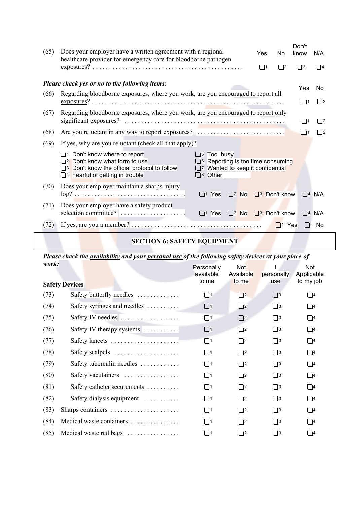| (65) | Does your employer have a written agreement with a regional<br>healthcare provider for emergency care for bloodborne pathogen                                                                                                                                                                                                                                             | Yes      | No                      | Don't<br>know | N/A                    |
|------|---------------------------------------------------------------------------------------------------------------------------------------------------------------------------------------------------------------------------------------------------------------------------------------------------------------------------------------------------------------------------|----------|-------------------------|---------------|------------------------|
|      |                                                                                                                                                                                                                                                                                                                                                                           | $\Box$ 1 | $\Box$ 12               | $\Box$ 3      | Π4                     |
|      | Please check yes or no to the following items:                                                                                                                                                                                                                                                                                                                            |          |                         |               |                        |
| (66) | Regarding bloodborne exposures, where you work, are you encouraged to report all                                                                                                                                                                                                                                                                                          |          |                         | Yes           | No                     |
|      |                                                                                                                                                                                                                                                                                                                                                                           |          |                         | $\Box$ 1      | l 12                   |
| (67) | Regarding bloodborne exposures, where you work, are you encouraged to report only                                                                                                                                                                                                                                                                                         |          |                         | 11            | $\blacksquare$         |
| (68) | Are you reluctant in any way to report exposures?                                                                                                                                                                                                                                                                                                                         |          |                         | - 11          | $\mathsf{I}2$          |
| (69) | If yes, why are you reluctant (check all that apply)?                                                                                                                                                                                                                                                                                                                     |          |                         |               |                        |
|      | $\Box$ <sup>1</sup> Don't know where to report<br>$\Box$ <sup>5</sup> Too busy<br>□ <sup>6</sup> Reporting is too time consuming<br><b>Example 2</b> Don't know what form to use<br>□7 Wanted to keep it confidential<br>$\Box$ <sup>3</sup> Don't know the official protocol to follow<br>$\Box$ <sup>4</sup> Fearful of getting in trouble<br>$\Box$ <sup>8</sup> Other |          |                         |               |                        |
| (70) | Does your employer maintain a sharps injury<br>$\Box$ <sup>2</sup> No $\Box$ <sup>3</sup> Don't know<br>$\Box$ <sup>1</sup> Yes                                                                                                                                                                                                                                           |          |                         |               | $\Box$ 4 N/A           |
| (71) | Does your employer have a safety product<br>$\Box$ <sup>1</sup> Yes<br>2 No 3 Don't know                                                                                                                                                                                                                                                                                  |          |                         |               | $\Box$ 4 N/A           |
| (72) |                                                                                                                                                                                                                                                                                                                                                                           |          | $\Box$ <sup>1</sup> Yes |               | $\Box$ <sup>2</sup> No |

# **SECTION 6: SAFETY EQUIPMENT**

Personally *Please check the availability and your personal use of the following safety devices at your place of work:*

| wvi iv. |                                                       | Personally<br>available | <b>Not</b><br>Available | personally  | <b>Not</b><br>Applicable |
|---------|-------------------------------------------------------|-------------------------|-------------------------|-------------|--------------------------|
|         | <b>Safety Devices</b>                                 | to me                   | to me                   | use         | to my job                |
| (73)    | Safety butterfly needles                              | $\Box$ 1                | $\Box$ <sup>2</sup>     | $\Box$ 3    | $\Box$ 4                 |
| (74)    | Safety syringes and needles                           | $\Box$ 1                | $\Box$ 2                | $\Box$ 3    | $\Box$ 4                 |
| (75)    | Safety IV needles                                     | $\Box$ 1                | $\Box$ <sup>2</sup>     | $\Box$ 3    | $\Box$ 4                 |
| (76)    | Safety IV therapy systems                             | $\Box$ 1                | $\Box$ 2                | $\Box$ 3    | $\Box$ 4                 |
| (77)    | Safety lancets                                        | $\Box$ 1                | $\Box$ 2                | $\Box$ 3    | $\Box$ 4                 |
| (78)    | Safety scalpels $\dots \dots \dots \dots \dots \dots$ | $\Box$ 1                | $\Box$ 2                | $\Box$ 3    | $\Box$ 4                 |
| (79)    | Safety tuberculin needles                             | 11                      | $\Box$ 2                | $\Box$ 3    | $\Box$ 4                 |
| (80)    | Safety vacutainers                                    | $\Box$ 1                | $\Box$ 2                | $\Box$ 3    | $\Box$ 4                 |
| (81)    | Safety catheter securements                           | $\Box$ 1                | $\Box$ 2                | $\square$ 3 | $\Box$ 4                 |
| (82)    | Safety dialysis equipment                             | $\Box$ 1                | $\Box$ 2                | $\Box$ 3    | $\Box$ 4                 |
| (83)    | Sharps containers                                     | $\Box$ 1                | $\Box$ 2                | $\Box$ 3    | $\Box$ 4                 |
| (84)    | Medical waste containers                              | $\Box$ 1                | $\Box$ 2                | $\Box$ 3    | $\Box$ 4                 |
| (85)    | Medical waste red bags                                | □1                      | $\Box$ 2                | $\Box$ 3    | $\blacksquare$           |
|         |                                                       |                         |                         |             |                          |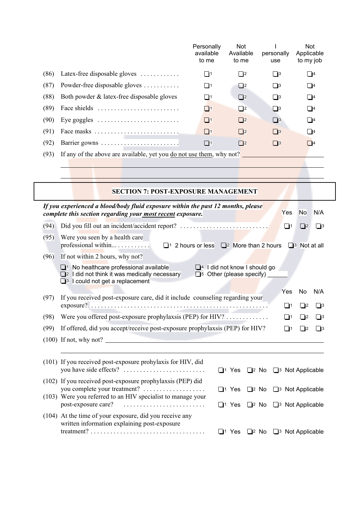|      |                                                                                                                                                                                 | Personally<br>available<br>to me                                                                         | Not<br>Available<br>to me                                                                    | personally<br>use                                                                 | <b>Not</b><br>Applicable<br>to my job |
|------|---------------------------------------------------------------------------------------------------------------------------------------------------------------------------------|----------------------------------------------------------------------------------------------------------|----------------------------------------------------------------------------------------------|-----------------------------------------------------------------------------------|---------------------------------------|
| (86) | Latex-free disposable gloves                                                                                                                                                    | $\Box$ 1                                                                                                 | $\Box$ 2                                                                                     | $\Box$ 3                                                                          | $\Box$ 4                              |
| (87) | Powder-free disposable gloves                                                                                                                                                   | $\Box$ 1                                                                                                 | $\Box$ 2                                                                                     | $\Box$ 3                                                                          | $\Box$ 4                              |
| (88) | Both powder & latex-free disposable gloves                                                                                                                                      | $\Box$ 1                                                                                                 | $\Box$ 2                                                                                     | $\Box$ 3                                                                          | $\Box$ 4                              |
| (89) | Face shields                                                                                                                                                                    | $\Box$ 1                                                                                                 | $\Box$ 2                                                                                     | $\Box$ 3                                                                          | $\Box$ 4                              |
| (90) | Eye goggles $\dots\dots\dots\dots\dots\dots\dots\dots\dots\dots$                                                                                                                | $\Box$ 1                                                                                                 | $\Box$ <sup>2</sup>                                                                          | $\Box$ <sup>3</sup>                                                               | ∐4                                    |
| (91) |                                                                                                                                                                                 | $\Box$ 1                                                                                                 | $\Box$ <sup>2</sup>                                                                          | $\Box$ <sup>3</sup>                                                               | $\Box$ 4                              |
| (92) | Barrier gowns                                                                                                                                                                   | $\Box$ 1                                                                                                 | $\Box$ <sup>2</sup>                                                                          | $\Box$ <sup>3</sup>                                                               | $\Box$ 4                              |
| (93) | If any of the above are available, yet you do not use them, why not?                                                                                                            |                                                                                                          |                                                                                              |                                                                                   |                                       |
|      | <b>SECTION 7: POST-EXPOSURE MANAGEMENT</b>                                                                                                                                      |                                                                                                          |                                                                                              |                                                                                   |                                       |
|      | If you experienced a blood/body fluid exposure within the past 12 months, please<br>complete this section regarding your most recent exposure.                                  |                                                                                                          |                                                                                              | Yes                                                                               | <b>No</b><br>N/A                      |
| (94) |                                                                                                                                                                                 |                                                                                                          |                                                                                              | $\Box$ 1                                                                          | $\Box$ 2<br>$\Box$ 3                  |
| (95) | Were you seen by a health care<br>professional within                                                                                                                           | $\Box$ <sup>1</sup> 2 hours or less $\Box$ <sup>2</sup> More than 2 hours $\Box$ <sup>3</sup> Not at all |                                                                                              |                                                                                   |                                       |
| (96) | If not within 2 hours, why not?                                                                                                                                                 |                                                                                                          |                                                                                              |                                                                                   |                                       |
|      | $\Box$ <sup>1</sup> No healthcare professional available<br>$\Box$ <sup>2</sup> I did not think it was medically necessary<br>$\Box$ <sup>3</sup> I could not get a replacement |                                                                                                          | $\Box$ <sup>4</sup> I did not know I should go<br>$\Box$ <sup>5</sup> Other (please specify) |                                                                                   |                                       |
|      |                                                                                                                                                                                 |                                                                                                          |                                                                                              | Yes                                                                               | N/A<br>No                             |
| (97) | If you received post-exposure care, did it include counseling regarding your                                                                                                    |                                                                                                          |                                                                                              | $\Box$ 1                                                                          | $\Box$ 2<br>$\Box$ 3                  |
| (98) | Were you offered post-exposure prophylaxsis (PEP) for HIV?                                                                                                                      |                                                                                                          |                                                                                              | __]1                                                                              | $\vert$ 12<br>$\Box$ 3                |
| (99) | If offered, did you accept/receive post-exposure prophylaxsis (PEP) for HIV?                                                                                                    |                                                                                                          |                                                                                              | $\Box$ 1                                                                          | $\Box$ 3<br>$\Box$ 2                  |
|      | $(100)$ If not, why not?                                                                                                                                                        |                                                                                                          |                                                                                              |                                                                                   |                                       |
|      | (101) If you received post-exposure prohylaxis for HIV, did<br>you have side effects?                                                                                           |                                                                                                          |                                                                                              | $\Box$ <sup>1</sup> Yes $\Box$ <sup>2</sup> No $\Box$ <sup>3</sup> Not Applicable |                                       |
|      | (102) If you received post-exposure prophylaxsis (PEP) did                                                                                                                      |                                                                                                          |                                                                                              | $\Box$ <sup>1</sup> Yes $\Box$ <sup>2</sup> No $\Box$ <sup>3</sup> Not Applicable |                                       |
|      | (103) Were you referred to an HIV specialist to manage your<br>post-exposure care?                                                                                              |                                                                                                          | $\Box$ <sup>1</sup> Yes<br>$\Box$ 2 No                                                       |                                                                                   | □ Not Applicable                      |
|      | (104) At the time of your exposure, did you receive any                                                                                                                         |                                                                                                          |                                                                                              |                                                                                   |                                       |

written information explaining post-exposure

treatment? . . . . . . . . . . . . . . . . . . . . . . . . . . . . . . . . . . . <sup>1</sup> Yes <sup>2</sup> No <sup>3</sup> Not Applicable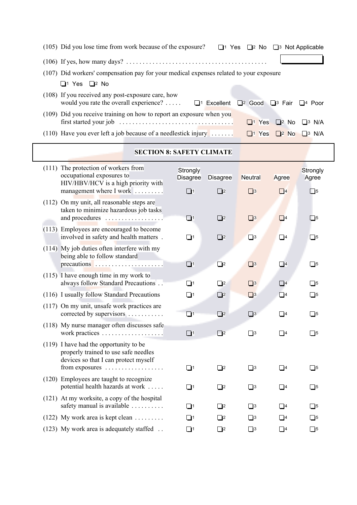|                                  | (105) Did you lose time from work because of the exposure?                                                                                                                                        |                 |                      | □ <sup>1</sup> Yes □ <sup>2</sup> No □ <sup>3</sup> Not Applicable |                      |                         |  |
|----------------------------------|---------------------------------------------------------------------------------------------------------------------------------------------------------------------------------------------------|-----------------|----------------------|--------------------------------------------------------------------|----------------------|-------------------------|--|
|                                  |                                                                                                                                                                                                   |                 |                      |                                                                    |                      |                         |  |
|                                  | (107) Did workers' compensation pay for your medical expenses related to your exposure                                                                                                            |                 |                      |                                                                    |                      |                         |  |
|                                  | $\Box$ <sup>1</sup> Yes $\Box$ <sup>2</sup> No                                                                                                                                                    |                 |                      |                                                                    |                      |                         |  |
|                                  | (108) If you received any post-exposure care, how<br>would you rate the overall experience?<br>$\Box$ <sup>1</sup> Excellent<br>$\Box$ <sup>2</sup> Good<br>$\Box$ <sup>3</sup> Fair<br>∣ l4 Poor |                 |                      |                                                                    |                      |                         |  |
|                                  | (109) Did you receive training on how to report an exposure when you<br>$\Box$ <sup>1</sup> Yes<br>$\Box$ <sup>2</sup> No<br>$\Box$ <sup>3</sup> N/A                                              |                 |                      |                                                                    |                      |                         |  |
|                                  | (110) Have you ever left a job because of a needlestick injury $\dots \dots$                                                                                                                      |                 |                      | $\Box$ <sup>1</sup> Yes                                            | $\Box^2$ No          | $\Box$ <sup>3</sup> N/A |  |
| <b>SECTION 8: SAFETY CLIMATE</b> |                                                                                                                                                                                                   |                 |                      |                                                                    |                      |                         |  |
|                                  | (111) The protection of workers from                                                                                                                                                              | Strongly        |                      |                                                                    |                      | Strongly                |  |
|                                  | occupational exposures to<br>HIV/HBV/HCV is a high priority with                                                                                                                                  | <b>Disagree</b> | Disagree             | Neutral                                                            | Agree                | Agree                   |  |
|                                  | management where I work                                                                                                                                                                           | $\Box$ 1        | $\Box$ 2             | $\Box$ 3                                                           | $\Box$ 4             | $\square$ 5             |  |
|                                  | (112) On my unit, all reasonable steps are<br>taken to minimize hazardous job tasks                                                                                                               |                 |                      |                                                                    |                      |                         |  |
|                                  | and procedures                                                                                                                                                                                    | $\Box$ 1        | $\Box$ 2             | $\Box$ 3                                                           | $\Box$ 4             | $\square$ 5             |  |
|                                  | (113) Employees are encouraged to become                                                                                                                                                          |                 |                      |                                                                    |                      |                         |  |
|                                  | involved in safety and health matters.                                                                                                                                                            | $\Box$ 1        | $\Box$ <sup>2</sup>  | $\Box$ 3                                                           | $\Box$ 4             | $\Box$ 5                |  |
|                                  | (114) My job duties often interfere with my<br>being able to follow standard                                                                                                                      |                 |                      |                                                                    |                      |                         |  |
|                                  | precautions                                                                                                                                                                                       | $\Box$ 1        | $\Box$ 2             | $\Box$ 3                                                           | $\Box$ 4             | $\square$ 5             |  |
|                                  | $(115)$ I have enough time in my work to<br>always follow Standard Precautions                                                                                                                    | ❏1              | $\Box$ 2             | $\Box$ <sup>3</sup>                                                | ⊔4                   | $\square$ 5             |  |
|                                  | (116) I usually follow Standard Precautions                                                                                                                                                       | ❏1              | $\Box$ 2             | $\Box$ 3                                                           | $\Box$ 14            | $\square$ 5             |  |
|                                  | (117) On my unit, unsafe work practices are                                                                                                                                                       |                 |                      |                                                                    |                      |                         |  |
|                                  | corrected by supervisors                                                                                                                                                                          | $\Box$ 1        | $\Box$ 2             | $\Box$ 3                                                           | $\Box$ 4             | $\square$ 5             |  |
|                                  | (118) My nurse manager often discusses safe<br>work practices                                                                                                                                     |                 |                      |                                                                    |                      |                         |  |
|                                  | (119) I have had the opportunity to be                                                                                                                                                            | $\Box$ 1        | $\Box$ <sup>2</sup>  | $\Box$ 3                                                           | $\Box$ 4             | $\Box$ 5                |  |
|                                  | properly trained to use safe needles                                                                                                                                                              |                 |                      |                                                                    |                      |                         |  |
|                                  | devices so that I can protect myself<br>from exposures                                                                                                                                            | $\Box$ 1        | $\Box$ 2             | $\Box$ 3                                                           | $\Box$ 4             | $\square$ 5             |  |
|                                  | (120) Employees are taught to recognize                                                                                                                                                           |                 |                      |                                                                    |                      |                         |  |
|                                  | potential health hazards at work                                                                                                                                                                  | $\Box$ 1        | $\Box$ 2             | $\Box$ 3                                                           | $\Box$ 4             | $\square$ 5             |  |
|                                  | (121) At my worksite, a copy of the hospital<br>safety manual is available $\dots \dots$                                                                                                          | $\Box$ 1        |                      |                                                                    |                      | $\Box$ 5                |  |
|                                  | $(122)$ My work area is kept clean $\dots\dots\dots$                                                                                                                                              | $\Box$ 1        | $\Box$ 2<br>$\Box$ 2 | $\Box$ <sup>3</sup><br>$\Box$ 3                                    | $\Box$ 4<br>$\Box$ 4 | $\Box$ 5                |  |
|                                  | (123) My work area is adequately staffed                                                                                                                                                          | $\Box$ 1        | $\Box$ 2             | $\Box$ 3                                                           | $\Box$ 4             | $\Box$ 5                |  |
|                                  |                                                                                                                                                                                                   |                 |                      |                                                                    |                      |                         |  |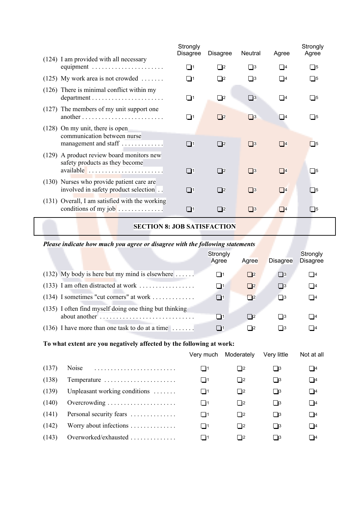|                                                                                                                 | Strongly<br><b>Disagree</b> | <b>Disagree</b> | Neutral             | Agree          | Strongly<br>Agree          |
|-----------------------------------------------------------------------------------------------------------------|-----------------------------|-----------------|---------------------|----------------|----------------------------|
| (124) I am provided with all necessary                                                                          | $\Box$ 1                    | $\Box$ 12       | $\Box$ 13           | $\blacksquare$ | $\mathbf{\overline{15}}$   |
| (125) My work area is not crowded $\dots\dots$                                                                  | 11                          | $\vert$   2     | 13                  | $\blacksquare$ | $\overline{\phantom{0}}$ 5 |
| (126) There is minimal conflict within my<br>$department \dots \dots \dots \dots \dots \dots \dots \dots$       | $\Box$ 1                    | $\Box$ 2        | $\Box$ <sup>3</sup> | $\blacksquare$ | $\blacksquare$             |
| (127) The members of my unit support one                                                                        | $\Box$ 1                    | $\Box$ 2        | $\Box$ 3            | $\blacksquare$ | $\mathbf{I}$               |
| $(128)$ On my unit, there is open<br>communication between nurse<br>management and staff $\dots\dots\dots\dots$ | $\Box$ 1                    | $\Box$ 2        | $ $ $ $ 3           | $\blacksquare$ | $\blacksquare$             |
| (129) A product review board monitors new<br>safety products as they become                                     | $\Box$ 1                    | $\Box$ 2        | $\Box$              | $\blacksquare$ | $\overline{\phantom{1}}$ 5 |
| (130) Nurses who provide patient care are<br>involved in safety product selection.                              | 11                          | $\Box$ 2        | $ $ $ $ 3           | $\blacksquare$ | <b>B</b>                   |
| (131) Overall, I am satisfied with the working<br>conditions of my job $\ldots$                                 | l 11                        | $ $   2         | $ $ $ $ 3           |                | l 15                       |

### **SECTION 8: JOB SATISFACTION**

## *Please indicate how much you agree or disagree with the following statements*

|                                                                        | Strongly<br>Agree | Agree          | <b>Disagree</b> | Strongly<br><b>Disagree</b> |
|------------------------------------------------------------------------|-------------------|----------------|-----------------|-----------------------------|
| $(132)$ My body is here but my mind is elsewhere                       | $\blacksquare$    | $\vert$ 12     | $\vert$ 13      | 14                          |
| $(133)$ I am often distracted at work                                  | - 11              | $\Box$         | $\blacksquare$  | $\vert$ $\vert$ 4           |
| $(134)$ I sometimes "cut corners" at work                              | 11                | $\Box$ 2       | $\blacksquare$  | $\blacksquare$              |
| (135) I often find myself doing one thing but thinking                 |                   |                |                 |                             |
| about another $\ldots, \ldots, \ldots, \ldots, \ldots, \ldots, \ldots$ | $\blacksquare$    | $\vert$ 12     | $\blacksquare$  | $\blacksquare$              |
| $(136)$ I have more than one task to do at a time $\ldots \ldots$      | - 11              | $\blacksquare$ | - 13            | $\blacksquare$              |

## **To what extent are you negatively affected by the following at work:**

|       |                               | Very much      | Moderately     | Very little    | Not at all          |
|-------|-------------------------------|----------------|----------------|----------------|---------------------|
| (137) | Noise                         | - 11           | $\blacksquare$ | I3             | $\Box$ <sup>4</sup> |
| (138) | Temperature                   | $\blacksquare$ | $\blacksquare$ | 13             | $\Box$ 4            |
| (139) | Unpleasant working conditions | - 11           | $\Box$ 2       | 13             | $\Box$ 4            |
| (140) | Overcrowding                  | - 11           | $\blacksquare$ | 13             | $\Box$ 4            |
| (141) | Personal security fears       | - 11           | $\blacksquare$ | 13             | $\blacksquare$      |
| (142) | Worry about infections        | - 11           | $\mathbf{I}$   | $\blacksquare$ | $\mathsf{T}$        |
| (143) | Overworked/exhausted          | - 11           | $\mathsf{I}2$  | - 13           | $\blacksquare$      |